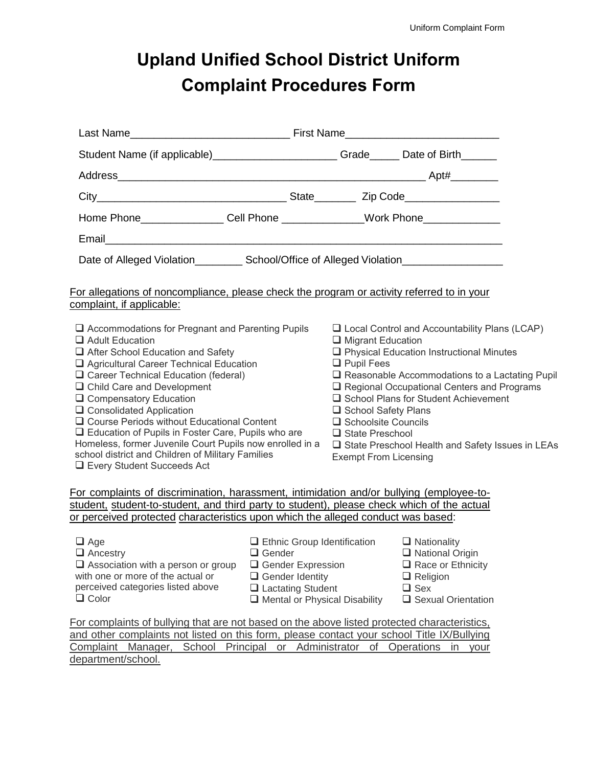## **Upland Unified School District Uniform Complaint Procedures Form**

| Student Name (if applicable)________________________Grade______ Date of Birth______                                                                                                                                                                                                                                                                                                                                                                                                                                                                               |  |                                                                                                                                                                                                                                                                                                                                                                                                                                                                                         |                       |  |
|-------------------------------------------------------------------------------------------------------------------------------------------------------------------------------------------------------------------------------------------------------------------------------------------------------------------------------------------------------------------------------------------------------------------------------------------------------------------------------------------------------------------------------------------------------------------|--|-----------------------------------------------------------------------------------------------------------------------------------------------------------------------------------------------------------------------------------------------------------------------------------------------------------------------------------------------------------------------------------------------------------------------------------------------------------------------------------------|-----------------------|--|
|                                                                                                                                                                                                                                                                                                                                                                                                                                                                                                                                                                   |  |                                                                                                                                                                                                                                                                                                                                                                                                                                                                                         |                       |  |
|                                                                                                                                                                                                                                                                                                                                                                                                                                                                                                                                                                   |  |                                                                                                                                                                                                                                                                                                                                                                                                                                                                                         |                       |  |
| Home Phone________________Cell Phone ______________Work Phone___________________                                                                                                                                                                                                                                                                                                                                                                                                                                                                                  |  |                                                                                                                                                                                                                                                                                                                                                                                                                                                                                         |                       |  |
|                                                                                                                                                                                                                                                                                                                                                                                                                                                                                                                                                                   |  |                                                                                                                                                                                                                                                                                                                                                                                                                                                                                         |                       |  |
| Date of Alleged Violation______________ School/Office of Alleged Violation_________________________                                                                                                                                                                                                                                                                                                                                                                                                                                                               |  |                                                                                                                                                                                                                                                                                                                                                                                                                                                                                         |                       |  |
| For allegations of noncompliance, please check the program or activity referred to in your<br>complaint, if applicable:                                                                                                                                                                                                                                                                                                                                                                                                                                           |  |                                                                                                                                                                                                                                                                                                                                                                                                                                                                                         |                       |  |
| $\Box$ Accommodations for Pregnant and Parenting Pupils<br>$\Box$ Adult Education<br>After School Education and Safety<br>Agricultural Career Technical Education<br>□ Career Technical Education (federal)<br>$\Box$ Child Care and Development<br>□ Compensatory Education<br>□ Consolidated Application<br>□ Course Periods without Educational Content<br>□ Education of Pupils in Foster Care, Pupils who are<br>Homeless, former Juvenile Court Pupils now enrolled in a<br>school district and Children of Military Families<br>Every Student Succeeds Act |  | $\Box$ Local Control and Accountability Plans (LCAP)<br>$\Box$ Migrant Education<br>□ Physical Education Instructional Minutes<br>$\Box$ Pupil Fees<br>$\Box$ Reasonable Accommodations to a Lactating Pupil<br>$\Box$ Regional Occupational Centers and Programs<br>□ School Plans for Student Achievement<br>□ School Safety Plans<br>$\Box$ Schoolsite Councils<br>$\Box$ State Preschool<br>$\Box$ State Preschool Health and Safety Issues in LEAs<br><b>Exempt From Licensing</b> |                       |  |
| For complaints of discrimination, harassment, intimidation and/or bullying (employee-to-<br>student, student-to-student, and third party to student), please check which of the actual<br>or perceived protected characteristics upon which the alleged conduct was based:                                                                                                                                                                                                                                                                                        |  |                                                                                                                                                                                                                                                                                                                                                                                                                                                                                         |                       |  |
| $\Box$ Age<br>$\Box$ Ethnic Group Identification<br>$\Box$ Ancestry<br>$\Box$ Gender<br>$\Box$ Association with a person or group<br>Gender Expression<br>with one or more of the actual or<br>$\Box$ Gender Identity<br>perceived categories listed above<br>$\Box$ Lactating Student<br>$\Box$ Color<br>Mental or Physical Disability                                                                                                                                                                                                                           |  | $\Box$ Nationality<br>$\Box$ National Origin<br>$\Box$ Race or Ethnicity<br>$\Box$ Religion<br>$\Box$ Sex<br>□ Sexual Orientation                                                                                                                                                                                                                                                                                                                                                       |                       |  |
| For complaints of bullying that are not based on the above listed protected characteristics.<br>and other complaints not listed on this form, please contact your school Title IX/Bullying<br>Complaint Manager, School Principal or Administrator<br>department/school.                                                                                                                                                                                                                                                                                          |  |                                                                                                                                                                                                                                                                                                                                                                                                                                                                                         | of Operations in your |  |